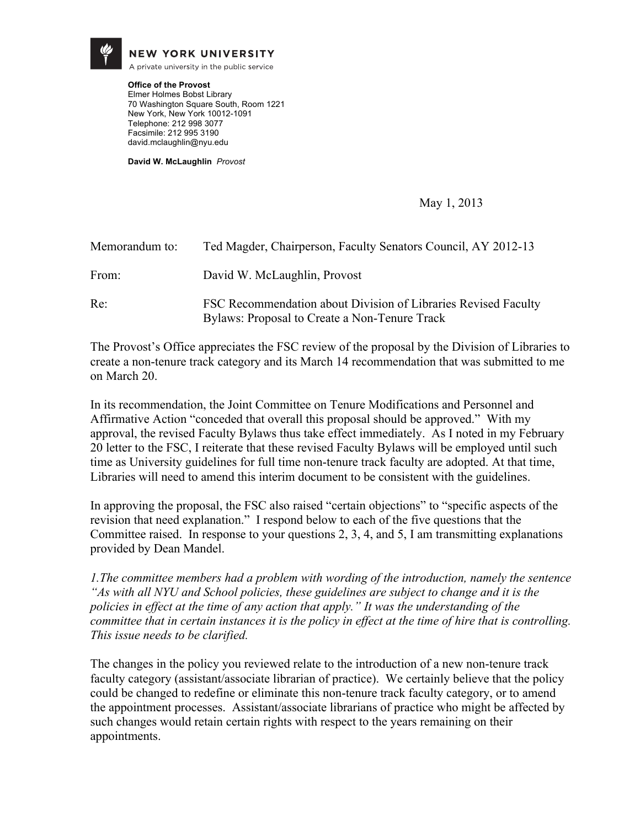

**NEW YORK UNIVERSITY** 

A private university in the public service

**Office of the Provost** Elmer Holmes Bobst Library 70 Washington Square South, Room 1221 New York, New York 10012-1091 Telephone: 212 998 3077 Facsimile: 212 995 3190 david.mclaughlin@nyu.edu

**David W. McLaughlin** *Provost*

May 1, 2013

| Memorandum to: | Ted Magder, Chairperson, Faculty Senators Council, AY 2012-13                                                   |
|----------------|-----------------------------------------------------------------------------------------------------------------|
| From:          | David W. McLaughlin, Provost                                                                                    |
| Re:            | FSC Recommendation about Division of Libraries Revised Faculty<br>Bylaws: Proposal to Create a Non-Tenure Track |

The Provost's Office appreciates the FSC review of the proposal by the Division of Libraries to create a non-tenure track category and its March 14 recommendation that was submitted to me on March 20.

In its recommendation, the Joint Committee on Tenure Modifications and Personnel and Affirmative Action "conceded that overall this proposal should be approved." With my approval, the revised Faculty Bylaws thus take effect immediately. As I noted in my February 20 letter to the FSC, I reiterate that these revised Faculty Bylaws will be employed until such time as University guidelines for full time non-tenure track faculty are adopted. At that time, Libraries will need to amend this interim document to be consistent with the guidelines.

In approving the proposal, the FSC also raised "certain objections" to "specific aspects of the revision that need explanation." I respond below to each of the five questions that the Committee raised. In response to your questions 2, 3, 4, and 5, I am transmitting explanations provided by Dean Mandel.

*1.The committee members had a problem with wording of the introduction, namely the sentence "As with all NYU and School policies, these guidelines are subject to change and it is the policies in effect at the time of any action that apply." It was the understanding of the committee that in certain instances it is the policy in effect at the time of hire that is controlling. This issue needs to be clarified.* 

The changes in the policy you reviewed relate to the introduction of a new non-tenure track faculty category (assistant/associate librarian of practice). We certainly believe that the policy could be changed to redefine or eliminate this non-tenure track faculty category, or to amend the appointment processes. Assistant/associate librarians of practice who might be affected by such changes would retain certain rights with respect to the years remaining on their appointments.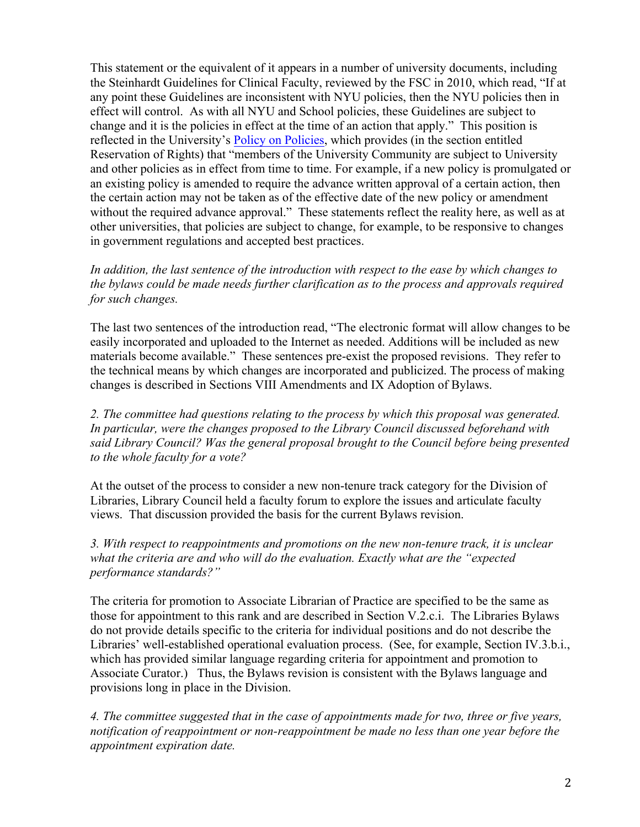This statement or the equivalent of it appears in a number of university documents, including the Steinhardt Guidelines for Clinical Faculty, reviewed by the FSC in 2010, which read, "If at any point these Guidelines are inconsistent with NYU policies, then the NYU policies then in effect will control. As with all NYU and School policies, these Guidelines are subject to change and it is the policies in effect at the time of an action that apply." This position is reflected in the University's Policy on Policies, which provides (in the section entitled Reservation of Rights) that "members of the University Community are subject to University and other policies as in effect from time to time. For example, if a new policy is promulgated or an existing policy is amended to require the advance written approval of a certain action, then the certain action may not be taken as of the effective date of the new policy or amendment without the required advance approval." These statements reflect the reality here, as well as at other universities, that policies are subject to change, for example, to be responsive to changes in government regulations and accepted best practices.

*In addition, the last sentence of the introduction with respect to the ease by which changes to the bylaws could be made needs further clarification as to the process and approvals required for such changes.*

The last two sentences of the introduction read, "The electronic format will allow changes to be easily incorporated and uploaded to the Internet as needed. Additions will be included as new materials become available." These sentences pre-exist the proposed revisions. They refer to the technical means by which changes are incorporated and publicized. The process of making changes is described in Sections VIII Amendments and IX Adoption of Bylaws.

*2. The committee had questions relating to the process by which this proposal was generated. In particular, were the changes proposed to the Library Council discussed beforehand with said Library Council? Was the general proposal brought to the Council before being presented to the whole faculty for a vote?*

At the outset of the process to consider a new non-tenure track category for the Division of Libraries, Library Council held a faculty forum to explore the issues and articulate faculty views. That discussion provided the basis for the current Bylaws revision.

*3. With respect to reappointments and promotions on the new non-tenure track, it is unclear what the criteria are and who will do the evaluation. Exactly what are the "expected performance standards?"*

The criteria for promotion to Associate Librarian of Practice are specified to be the same as those for appointment to this rank and are described in Section V.2.c.i. The Libraries Bylaws do not provide details specific to the criteria for individual positions and do not describe the Libraries' well-established operational evaluation process. (See, for example, Section IV.3.b.i., which has provided similar language regarding criteria for appointment and promotion to Associate Curator.) Thus, the Bylaws revision is consistent with the Bylaws language and provisions long in place in the Division.

*4. The committee suggested that in the case of appointments made for two, three or five years, notification of reappointment or non-reappointment be made no less than one year before the appointment expiration date.*